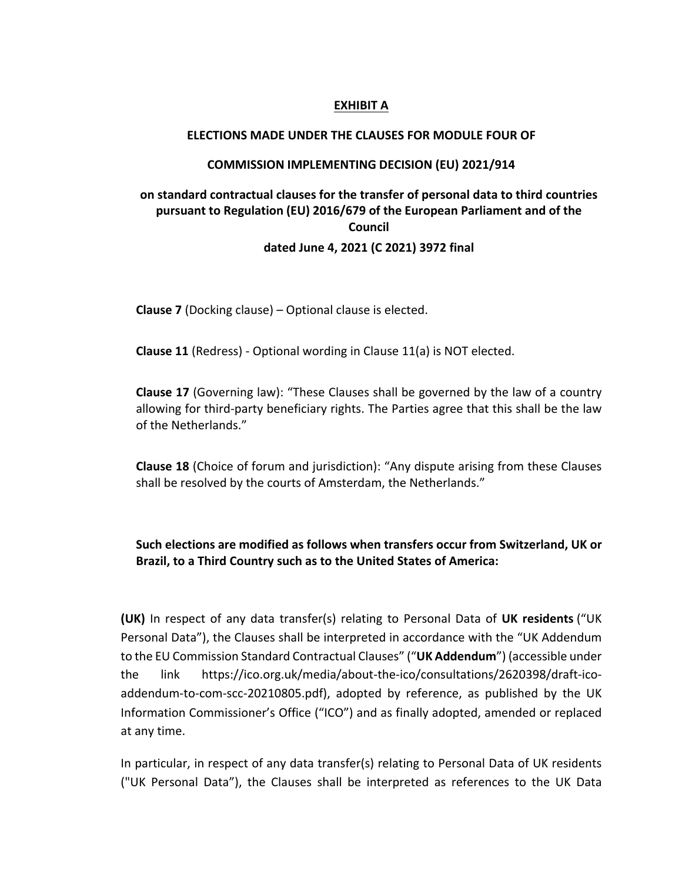#### **EXHIBIT A**

#### **ELECTIONS MADE UNDER THE CLAUSES FOR MODULE FOUR OF**

#### **COMMISSION IMPLEMENTING DECISION (EU) 2021/914**

# **on standard contractual clauses for the transfer of personal data to third countries pursuant to Regulation (EU) 2016/679 of the European Parliament and of the Council dated June 4, 2021 (C 2021) 3972 final**

**Clause 7** (Docking clause) – Optional clause is elected.

**Clause 11** (Redress) - Optional wording in Clause 11(a) is NOT elected.

**Clause 17** (Governing law): "These Clauses shall be governed by the law of a country allowing for third-party beneficiary rights. The Parties agree that this shall be the law of the Netherlands."

**Clause 18** (Choice of forum and jurisdiction): "Any dispute arising from these Clauses shall be resolved by the courts of Amsterdam, the Netherlands."

## **Such elections are modified as follows when transfers occur from Switzerland, UK or Brazil, to a Third Country such as to the United States of America:**

**(UK)** In respect of any data transfer(s) relating to Personal Data of **UK residents** ("UK Personal Data"), the Clauses shall be interpreted in accordance with the "UK Addendum to the EU Commission Standard Contractual Clauses" ("**UK Addendum**") (accessible under the link https://ico.org.uk/media/about-the-ico/consultations/2620398/draft-icoaddendum-to-com-scc-20210805.pdf), adopted by reference, as published by the UK Information Commissioner's Office ("ICO") and as finally adopted, amended or replaced at any time.

In particular, in respect of any data transfer(s) relating to Personal Data of UK residents ("UK Personal Data"), the Clauses shall be interpreted as references to the UK Data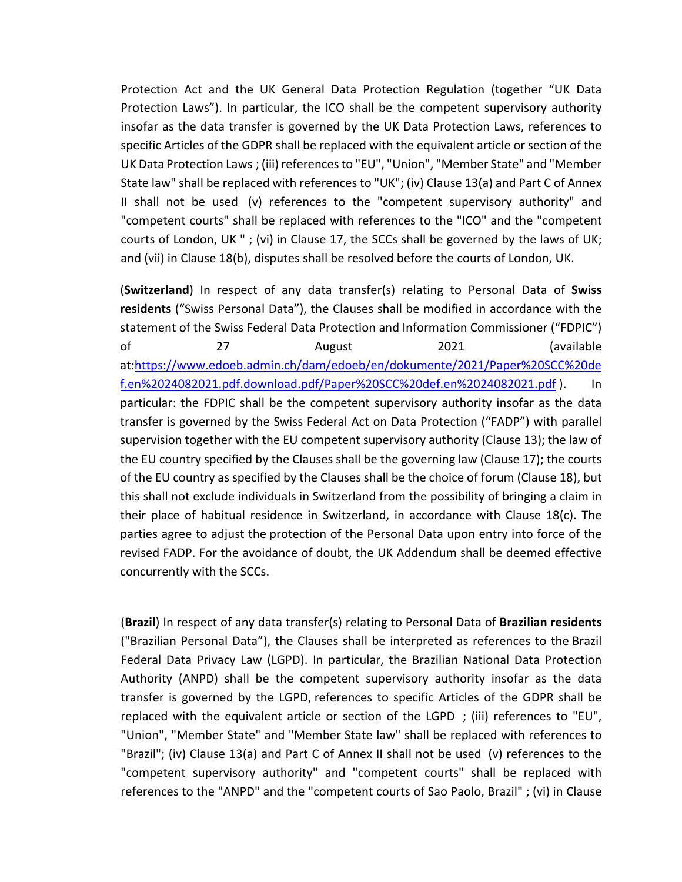Protection Act and the UK General Data Protection Regulation (together "UK Data Protection Laws"). In particular, the ICO shall be the competent supervisory authority insofar as the data transfer is governed by the UK Data Protection Laws, references to specific Articles of the GDPR shall be replaced with the equivalent article or section of the UK Data Protection Laws ; (iii) references to "EU", "Union", "Member State" and "Member State law" shall be replaced with references to "UK"; (iv) Clause 13(a) and Part C of Annex II shall not be used (v) references to the "competent supervisory authority" and "competent courts" shall be replaced with references to the "ICO" and the "competent courts of London, UK " ; (vi) in Clause 17, the SCCs shall be governed by the laws of UK; and (vii) in Clause 18(b), disputes shall be resolved before the courts of London, UK.

(**Switzerland**) In respect of any data transfer(s) relating to Personal Data of **Swiss residents** ("Swiss Personal Data"), the Clauses shall be modified in accordance with the statement of the Swiss Federal Data Protection and Information Commissioner ("FDPIC") of 27 August 2021 (available at:https://www.edoeb.admin.ch/dam/edoeb/en/dokumente/2021/Paper%20SCC%20de f.en%2024082021.pdf.download.pdf/Paper%20SCC%20def.en%2024082021.pdf ). In particular: the FDPIC shall be the competent supervisory authority insofar as the data transfer is governed by the Swiss Federal Act on Data Protection ("FADP") with parallel supervision together with the EU competent supervisory authority (Clause 13); the law of the EU country specified by the Clauses shall be the governing law (Clause 17); the courts of the EU country as specified by the Clauses shall be the choice of forum (Clause 18), but this shall not exclude individuals in Switzerland from the possibility of bringing a claim in their place of habitual residence in Switzerland, in accordance with Clause  $18(c)$ . The parties agree to adjust the protection of the Personal Data upon entry into force of the revised FADP. For the avoidance of doubt, the UK Addendum shall be deemed effective concurrently with the SCCs.

(**Brazil**) In respect of any data transfer(s) relating to Personal Data of **Brazilian residents** ("Brazilian Personal Data"), the Clauses shall be interpreted as references to the Brazil Federal Data Privacy Law (LGPD). In particular, the Brazilian National Data Protection Authority (ANPD) shall be the competent supervisory authority insofar as the data transfer is governed by the LGPD, references to specific Articles of the GDPR shall be replaced with the equivalent article or section of the LGPD ; (iii) references to "EU", "Union", "Member State" and "Member State law" shall be replaced with references to "Brazil"; (iv) Clause 13(a) and Part C of Annex II shall not be used (v) references to the "competent supervisory authority" and "competent courts" shall be replaced with references to the "ANPD" and the "competent courts of Sao Paolo, Brazil" ; (vi) in Clause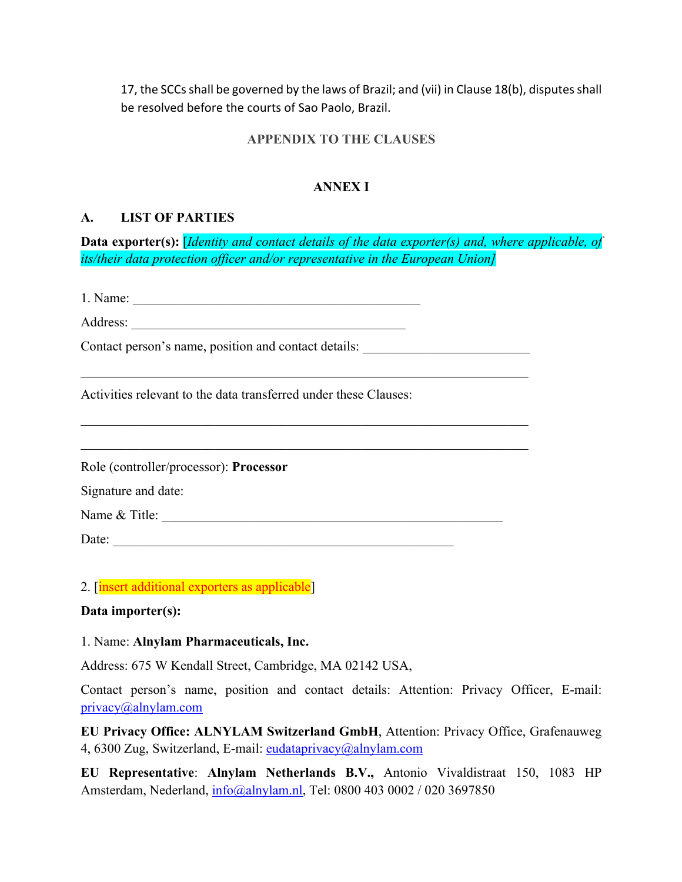17, the SCCs shall be governed by the laws of Brazil; and (vii) in Clause 18(b), disputes shall be resolved before the courts of Sao Paolo, Brazil.

### **APPENDIX TO THE CLAUSES**

## **ANNEX I**

### **A. LIST OF PARTIES**

**Data exporter(s):** [*Identity and contact details of the data exporter(s) and, where applicable, of its/their data protection officer and/or representative in the European Union]*

1. Name:

Address:

Contact person's name, position and contact details:

Activities relevant to the data transferred under these Clauses:

Role (controller/processor): **Processor**

Signature and date:

Name & Title: \_\_\_\_\_\_\_\_\_\_\_\_\_\_\_\_\_\_\_\_\_\_\_\_\_\_\_\_\_\_\_\_\_\_\_\_\_\_\_\_\_\_\_\_\_\_\_\_\_\_\_

Date:  $\overline{\phantom{a}}$ 

2. [insert additional exporters as applicable]

#### **Data importer(s):**

1. Name: **Alnylam Pharmaceuticals, Inc.**

Address: 675 W Kendall Street, Cambridge, MA 02142 USA,

Contact person's name, position and contact details: Attention: Privacy Officer, E-mail: privacy@alnylam.com

**EU Privacy Office: ALNYLAM Switzerland GmbH**, Attention: Privacy Office, Grafenauweg 4, 6300 Zug, Switzerland, E-mail: eudataprivacy@alnylam.com

**EU Representative**: **Alnylam Netherlands B.V.,** Antonio Vivaldistraat 150, 1083 HP Amsterdam, Nederland, info@alnylam.nl, Tel: 0800 403 0002 / 020 3697850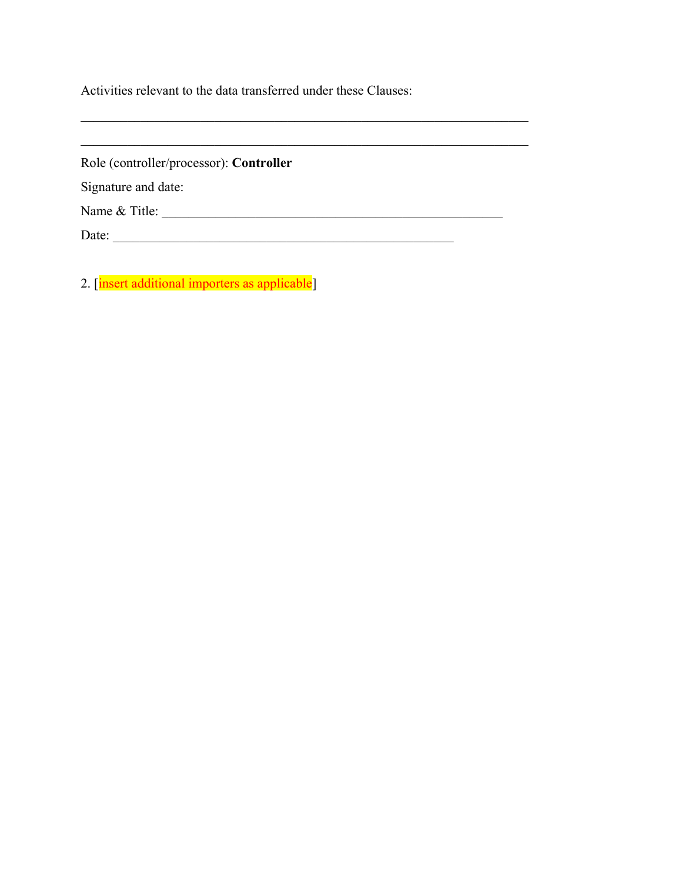Activities relevant to the data transferred under these Clauses:

| Role (controller/processor): Controller |  |
|-----------------------------------------|--|
| Signature and date:                     |  |
| Name & Title:                           |  |
| Date:                                   |  |

2. [insert additional importers as applicable]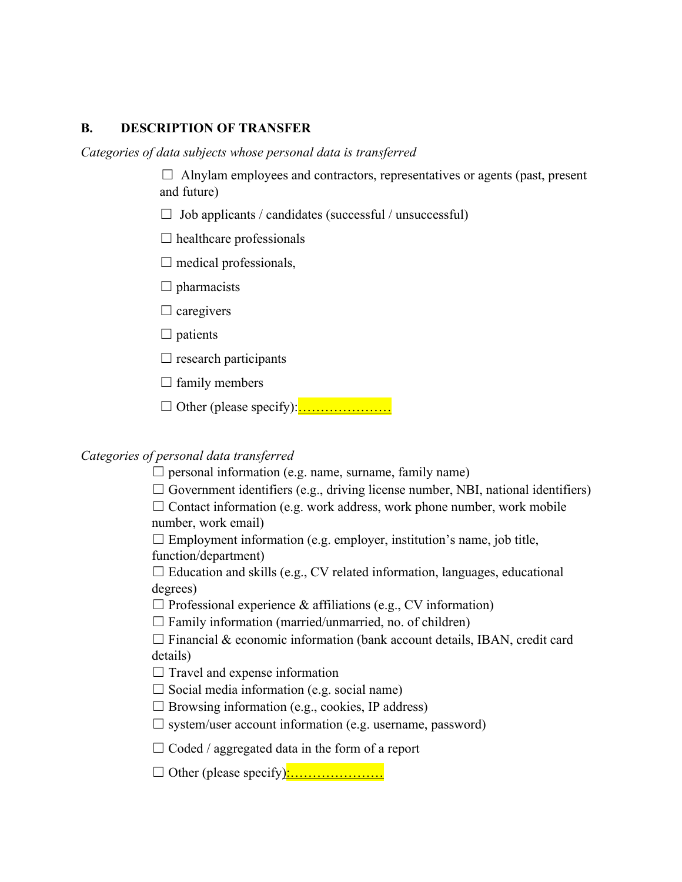### **B. DESCRIPTION OF TRANSFER**

*Categories of data subjects whose personal data is transferred*

 $\Box$  Alnylam employees and contractors, representatives or agents (past, present and future)

- $\Box$  Job applicants / candidates (successful / unsuccessful)
- $\Box$  healthcare professionals
- $\Box$  medical professionals,
- $\Box$  pharmacists
- $\Box$  caregivers
- $\Box$  patients
- $\Box$  research participants
- $\Box$  family members
- ☐ Other (please specify):…………………

## *Categories of personal data transferred*

- $\Box$  personal information (e.g. name, surname, family name)
- $\Box$  Government identifiers (e.g., driving license number, NBI, national identifiers)

 $\Box$  Contact information (e.g. work address, work phone number, work mobile number, work email)

 $\Box$  Employment information (e.g. employer, institution's name, job title, function/department)

 $\Box$  Education and skills (e.g., CV related information, languages, educational degrees)

- $\Box$  Professional experience & affiliations (e.g., CV information)
- $\Box$  Family information (married/unmarried, no. of children)

 $\Box$  Financial & economic information (bank account details, IBAN, credit card details)

- $\Box$  Travel and expense information
- $\Box$  Social media information (e.g. social name)
- $\Box$  Browsing information (e.g., cookies, IP address)
- $\Box$  system/user account information (e.g. username, password)
- $\Box$  Coded / aggregated data in the form of a report
- ☐ Other (please specify):…………………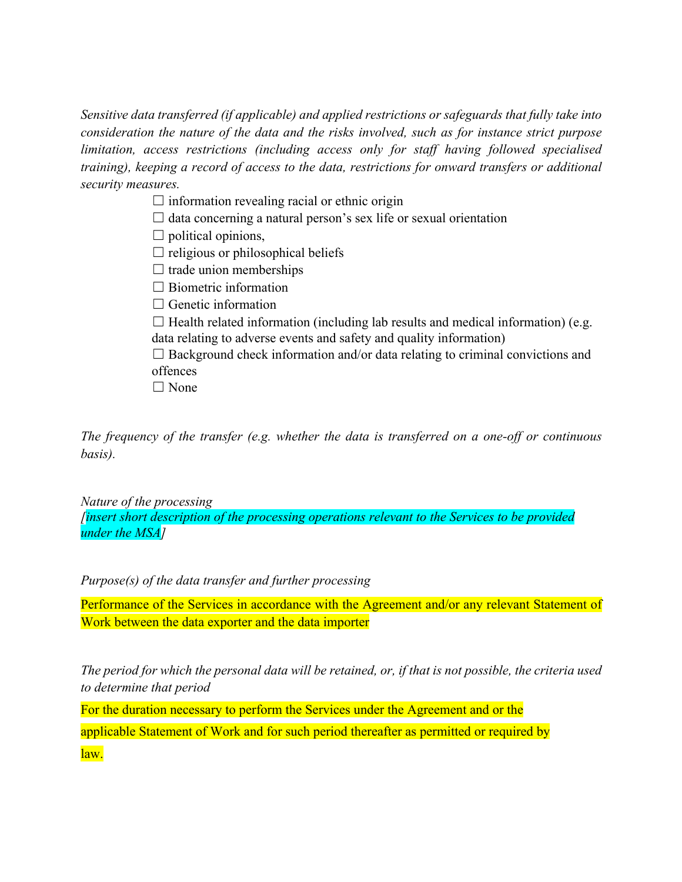*Sensitive data transferred (if applicable) and applied restrictions or safeguards that fully take into consideration the nature of the data and the risks involved, such as for instance strict purpose limitation, access restrictions (including access only for staff having followed specialised training), keeping a record of access to the data, restrictions for onward transfers or additional security measures.*

 $\Box$  information revealing racial or ethnic origin

 $\Box$  data concerning a natural person's sex life or sexual orientation

 $\Box$  political opinions,

 $\Box$  religious or philosophical beliefs

 $\Box$  trade union memberships

 $\Box$  Biometric information

 $\Box$  Genetic information

 $\Box$  Health related information (including lab results and medical information) (e.g. data relating to adverse events and safety and quality information)

 $\Box$  Background check information and/or data relating to criminal convictions and offences

□ None

*The frequency of the transfer (e.g. whether the data is transferred on a one-off or continuous basis).*

*Nature of the processing*

*[insert short description of the processing operations relevant to the Services to be provided under the MSA]*

*Purpose(s) of the data transfer and further processing*

Performance of the Services in accordance with the Agreement and/or any relevant Statement of Work between the data exporter and the data importer

*The period for which the personal data will be retained, or, if that is not possible, the criteria used to determine that period*

For the duration necessary to perform the Services under the Agreement and or the applicable Statement of Work and for such period thereafter as permitted or required by law.